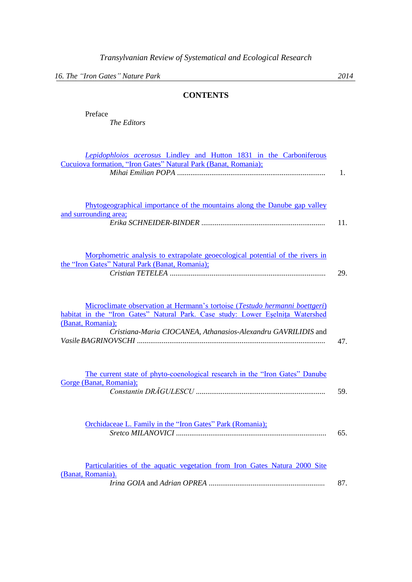*16. The "Iron Gates" Nature Park 2014*

## **CONTENTS**

*Lepidophloios acerosus* [Lindley and Hutton 1831 in the Carboniferous](_1-10.pdf) 

*The Editors*

| Cucuiova formation, "Iron Gates" Natural Park (Banat, Romania);                                                                                                                                                                                     | 1.  |
|-----------------------------------------------------------------------------------------------------------------------------------------------------------------------------------------------------------------------------------------------------|-----|
| Phytogeographical importance of the mountains along the Danube gap valley<br>and surrounding area;                                                                                                                                                  | 11. |
| Morphometric analysis to extrapolate geoecological potential of the rivers in<br>the "Iron Gates" Natural Park (Banat, Romania);                                                                                                                    | 29. |
| Microclimate observation at Hermann's tortoise (Testudo hermanni boettgeri)<br>habitat in the "Iron Gates" Natural Park. Case study: Lower Eselnita Watershed<br>(Banat, Romania);<br>Cristiana-Maria CIOCANEA, Athanasios-Alexandru GAVRILIDIS and | 47. |
| The current state of phyto-coenological research in the "Iron Gates" Danube<br>Gorge (Banat, Romania);                                                                                                                                              | 59. |
| Orchidaceae L. Family in the "Iron Gates" Park (Romania);                                                                                                                                                                                           | 65. |
| Particularities of the aquatic vegetation from Iron Gates Natura 2000 Site<br>(Banat, Romania).                                                                                                                                                     | 87. |